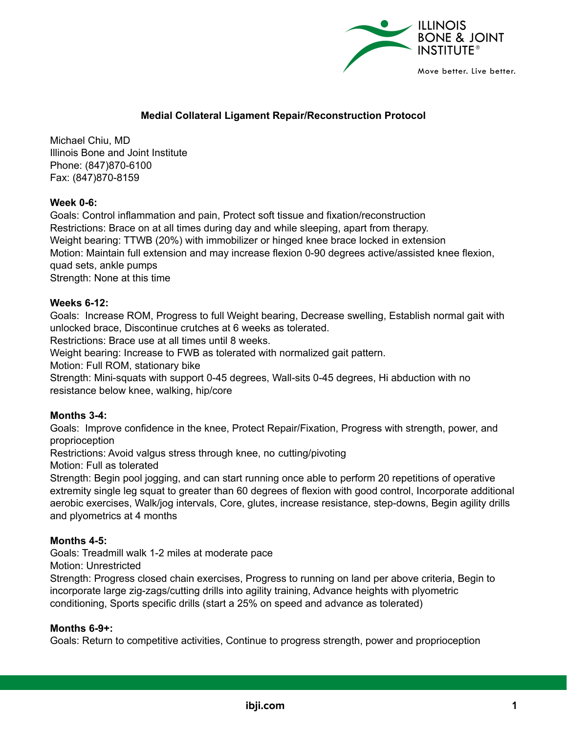

# **Medial Collateral Ligament Repair/Reconstruction Protocol**

Michael Chiu, MD Illinois Bone and Joint Institute Phone: (847)870-6100 Fax: (847)870-8159

## **Week 0-6:**

Goals: Control inflammation and pain, Protect soft tissue and fixation/reconstruction Restrictions: Brace on at all times during day and while sleeping, apart from therapy. Weight bearing: TTWB (20%) with immobilizer or hinged knee brace locked in extension Motion: Maintain full extension and may increase flexion 0-90 degrees active/assisted knee flexion, quad sets, ankle pumps Strength: None at this time

### **Weeks 6-12:**

Goals: Increase ROM, Progress to full Weight bearing, Decrease swelling, Establish normal gait with unlocked brace, Discontinue crutches at 6 weeks as tolerated.

Restrictions: Brace use at all times until 8 weeks.

Weight bearing: Increase to FWB as tolerated with normalized gait pattern.

Motion: Full ROM, stationary bike

Strength: Mini-squats with support 0-45 degrees, Wall-sits 0-45 degrees, Hi abduction with no resistance below knee, walking, hip/core

#### **Months 3-4:**

Goals: Improve confidence in the knee, Protect Repair/Fixation, Progress with strength, power, and proprioception

Restrictions: Avoid valgus stress through knee, no cutting/pivoting

Motion: Full as tolerated

Strength: Begin pool jogging, and can start running once able to perform 20 repetitions of operative extremity single leg squat to greater than 60 degrees of flexion with good control, Incorporate additional aerobic exercises, Walk/jog intervals, Core, glutes, increase resistance, step-downs, Begin agility drills and plyometrics at 4 months

#### **Months 4-5:**

Goals: Treadmill walk 1-2 miles at moderate pace

Motion: Unrestricted

Strength: Progress closed chain exercises, Progress to running on land per above criteria, Begin to incorporate large zig-zags/cutting drills into agility training, Advance heights with plyometric conditioning, Sports specific drills (start a 25% on speed and advance as tolerated)

#### **Months 6-9+:**

Goals: Return to competitive activities, Continue to progress strength, power and proprioception